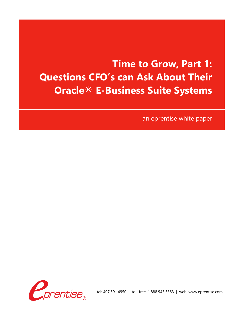# **Time to Grow, Part 1: Questions CFO's can Ask About Their Oracle® E-Business Suite Systems**

an eprentise white paper



tel: 407.591.4950 | toll-free: 1.888.943.5363 | web: www.eprentise.com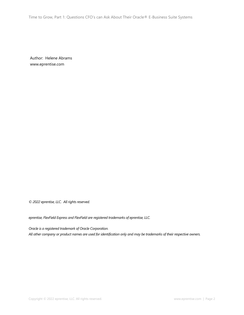Time to Grow, Part 1: Questions CFO's can Ask About Their Oracle® E-Business Suite Systems

Author: Helene Abrams www.eprentise.com

*© 2022 eprentise, LLC. All rights reserved.*

*eprentise, FlexField Express and FlexField are registered trademarks of eprentise, LLC.*

*Oracle is a registered trademark of Oracle Corporation. All other company or product names are used for identification only and may be trademarks of their respective owners.*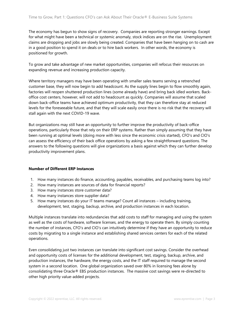The economy has begun to show signs of recovery. Companies are reporting stronger earnings. Except for what might have been a technical or systemic anomaly, stock indices are on the rise. Unemployment claims are dropping and jobs are slowly being created. Companies that have been hanging on to cash are in a good position to spend it on deals or to hire back workers. In other words, the economy is positioned for growth.

To grow and take advantage of new market opportunities, companies will refocus their resources on expanding revenue and increasing production capacity.

Where territory managers may have been operating with smaller sales teams serving a retrenched customer base, they will now begin to add headcount. As the supply lines begin to flow smoothly again, factories will reopen shuttered production lines (some already have) and bring back idled workers. Backoffice cost centers, however, will not add to headcount as quickly. Companies will assume that scaled down back-office teams have achieved optimum productivity, that they can therefore stay at reduced levels for the foreseeable future, and that they will scale easily once there is no risk that the recovery will stall again with the next COVID-19 wave.

But organizations may still have an opportunity to further improve the productivity of back-office operations, particularly those that rely on their ERP systems. Rather than simply assuming that they have been running at optimal levels (doing more with less since the economic crisis started), CFO's and CIO's can assess the efficiency of their back office operations by asking a few straightforward questions. The answers to the following questions will give organizations a basis against which they can further develop productivity improvement plans.

## **Number of Different ERP Instances**

- 1. How many instances do finance, accounting, payables, receivables, and purchasing teams log into?
- 2. How many instances are sources of data for financial reports?
- 3. How many instances store customer data?
- 4. How many instances store supplier data?
- 5. How many instances do your IT teams manage? Count all instances including training, development, test, staging, backup, archive, and production instances in each location.

Multiple instances translate into redundancies that add costs to staff for managing and using the system as well as the costs of hardware, software licenses, and the energy to operate them. By simply counting the number of instances, CFO's and CIO's can intuitively determine if they have an opportunity to reduce costs by migrating to a single instance and establishing shared services centers for each of the related operations.

Even consolidating just two instances can translate into significant cost savings. Consider the overhead and opportunity costs of licenses for the additional development, test, staging, backup, archive, and production instances, the hardware, the energy costs, and the IT staff required to manage the second system in a second location. One global organization saved over 80% in licensing fees alone by consolidating three Oracle® EBS production instances. The massive cost savings were re-directed to other high priority value-added projects.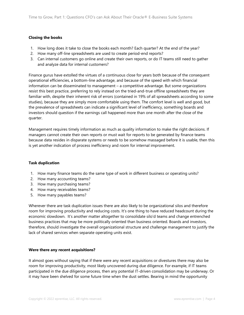# **Closing the books**

- 1. How long does it take to close the books each month? Each quarter? At the end of the year?
- 2. How many off-line spreadsheets are used to create period-end reports?
- 3. Can internal customers go online and create their own reports, or do IT teams still need to gather and analyze data for internal customers?

Finance gurus have extolled the virtues of a continuous close for years both because of the consequent operational efficiencies, a bottom-line advantage, and because of the speed with which financial information can be disseminated to management – a competitive advantage. But some organizations resist this best practice, preferring to rely instead on the tried-and-true offline spreadsheets they are familiar with, despite their inherent risk of errors (contained in 19% of all spreadsheets according to some studies), because they are simply more comfortable using them. The comfort level is well and good, but the prevalence of spreadsheets can indicate a significant level of inefficiency, something boards and investors should question if the earnings call happened more than one month after the close of the quarter.

Management requires timely information as much as quality information to make the right decisions. If managers cannot create their own reports or must wait for reports to be generated by finance teams because data resides in disparate systems or needs to be somehow massaged before it is usable, then this is yet another indication of process inefficiency and room for internal improvement.

# **Task duplication**

- 1. How many finance teams do the same type of work in different business or operating units?
- 2. How many accounting teams?
- 3. How many purchasing teams?
- 4. How many receivables teams?
- 5. How many payables teams?

Wherever there are task duplication issues there are also likely to be organizational silos and therefore room for improving productivity and reducing costs. It's one thing to have reduced headcount during the economic slowdown. It's another matter altogether to consolidate silo'd teams and change entrenched business practices that may be more politically oriented than business oriented. Boards and investors, therefore, should investigate the overall organizational structure and challenge management to justify the lack of shared services when separate operating units exist.

### **Were there any recent acquisitions?**

It almost goes without saying that if there were any recent acquisitions or divestures there may also be room for improving productivity, most likely uncovered during due diligence. For example, if IT teams participated in the due diligence process, then any potential IT-driven consolidation may be underway. Or it may have been shelved for some future time when the dust settles. Bearing in mind the opportunity